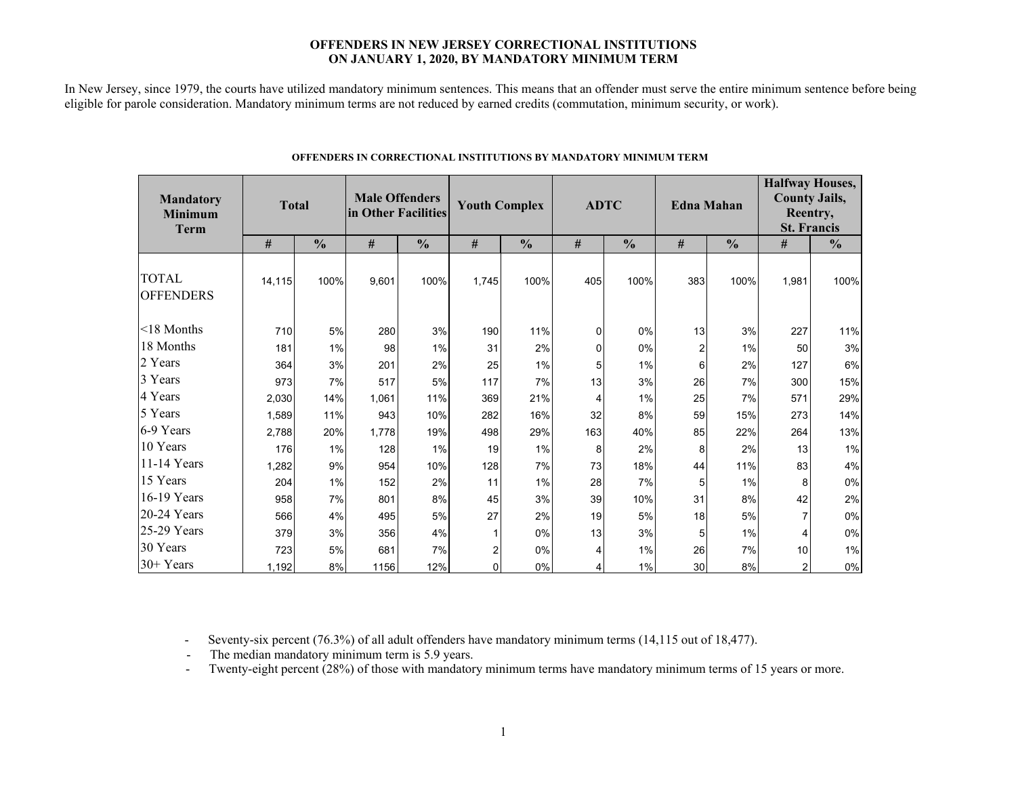### **OFFENDERS IN NEW JERSEY CORRECTIONAL INSTITUTIONS ON JANUARY 1, 2020, BY MANDATORY MINIMUM TERM**

In New Jersey, since 1979, the courts have utilized mandatory minimum sentences. This means that an offender must serve the entire minimum sentence before being eligible for parole consideration. Mandatory minimum terms are not reduced by earned credits (commutation, minimum security, or work).

| <b>Mandatory</b><br><b>Minimum</b><br><b>Term</b> | <b>Total</b> |               | <b>Male Offenders</b><br>in Other Facilities |               | <b>Youth Complex</b> |               | <b>ADTC</b> |               |                | <b>Edna Mahan</b> | <b>Halfway Houses,</b><br><b>County Jails,</b><br>Reentry,<br><b>St. Francis</b> |               |  |
|---------------------------------------------------|--------------|---------------|----------------------------------------------|---------------|----------------------|---------------|-------------|---------------|----------------|-------------------|----------------------------------------------------------------------------------|---------------|--|
|                                                   | #            | $\frac{0}{0}$ | #                                            | $\frac{0}{0}$ | #                    | $\frac{0}{0}$ | $\#$        | $\frac{0}{0}$ | $\#$           | $\frac{0}{0}$     | $\#$                                                                             | $\frac{0}{0}$ |  |
| <b>TOTAL</b><br><b>OFFENDERS</b>                  | 14.115       | 100%          | 9,601                                        | 100%          | 1,745                | 100%          | 405         | 100%          | 383            | 100%              | 1,981                                                                            | 100%          |  |
| $<$ 18 Months                                     | 710          | 5%            | 280                                          | 3%            | 190                  | 11%           | 0           | 0%            | 13             | 3%                | 227                                                                              | 11%           |  |
| 18 Months                                         | 181          | 1%            | 98                                           | 1%            | 31                   | 2%            | $\Omega$    | 0%            | $\overline{2}$ | 1%                | 50                                                                               | 3%            |  |
| 2 Years                                           | 364          | 3%            | 201                                          | 2%            | 25                   | 1%            | 5           | 1%            | 6              | 2%                | 127                                                                              | 6%            |  |
| 3 Years                                           | 973          | 7%            | 517                                          | 5%            | 117                  | 7%            | 13          | 3%            | 26             | 7%                | 300                                                                              | 15%           |  |
| 4 Years                                           | 2,030        | 14%           | 1.061                                        | 11%           | 369                  | 21%           | 4           | 1%            | 25             | 7%                | 571                                                                              | 29%           |  |
| 5 Years                                           | 1,589        | 11%           | 943                                          | 10%           | 282                  | 16%           | 32          | 8%            | 59             | 15%               | 273                                                                              | 14%           |  |
| 6-9 Years                                         | 2,788        | 20%           | 1,778                                        | 19%           | 498                  | 29%           | 163         | 40%           | 85             | 22%               | 264                                                                              | 13%           |  |
| 10 Years                                          | 176          | 1%            | 128                                          | 1%            | 19                   | 1%            | 8           | 2%            | 8              | 2%                | 13                                                                               | 1%            |  |
| 11-14 Years                                       | 1,282        | 9%            | 954                                          | 10%           | 128                  | 7%            | 73          | 18%           | 44             | 11%               | 83                                                                               | 4%            |  |
| 15 Years                                          | 204          | $1\%$         | 152                                          | 2%            | 11                   | 1%            | 28          | 7%            | 5              | $1\%$             | 8                                                                                | $0\%$         |  |
| 16-19 Years                                       | 958          | 7%            | 801                                          | 8%            | 45                   | 3%            | 39          | 10%           | 31             | 8%                | 42                                                                               | 2%            |  |
| $20-24$ Years                                     | 566          | 4%            | 495                                          | 5%            | 27                   | 2%            | 19          | 5%            | 18             | 5%                | $\overline{7}$                                                                   | $0\%$         |  |
| 25-29 Years                                       | 379          | 3%            | 356                                          | 4%            |                      | 0%            | 13          | 3%            | 5              | 1%                | 4                                                                                | 0%            |  |
| 30 Years                                          | 723          | 5%            | 681                                          | 7%            | 2                    | 0%            | 4           | 1%            | 26             | 7%                | 10                                                                               | 1%            |  |
| 30+ Years                                         | 1,192        | 8%            | 1156                                         | 12%           | $\Omega$             | 0%            | 4           | 1%            | 30             | 8%                | $\overline{2}$                                                                   | 0%            |  |

#### **OFFENDERS IN CORRECTIONAL INSTITUTIONS BY MANDATORY MINIMUM TERM**

- Seventy-six percent (76.3%) of all adult offenders have mandatory minimum terms (14,115 out of 18,477).

- The median mandatory minimum term is 5.9 years.

-Twenty-eight percent (28%) of those with mandatory minimum terms have mandatory minimum terms of 15 years or more.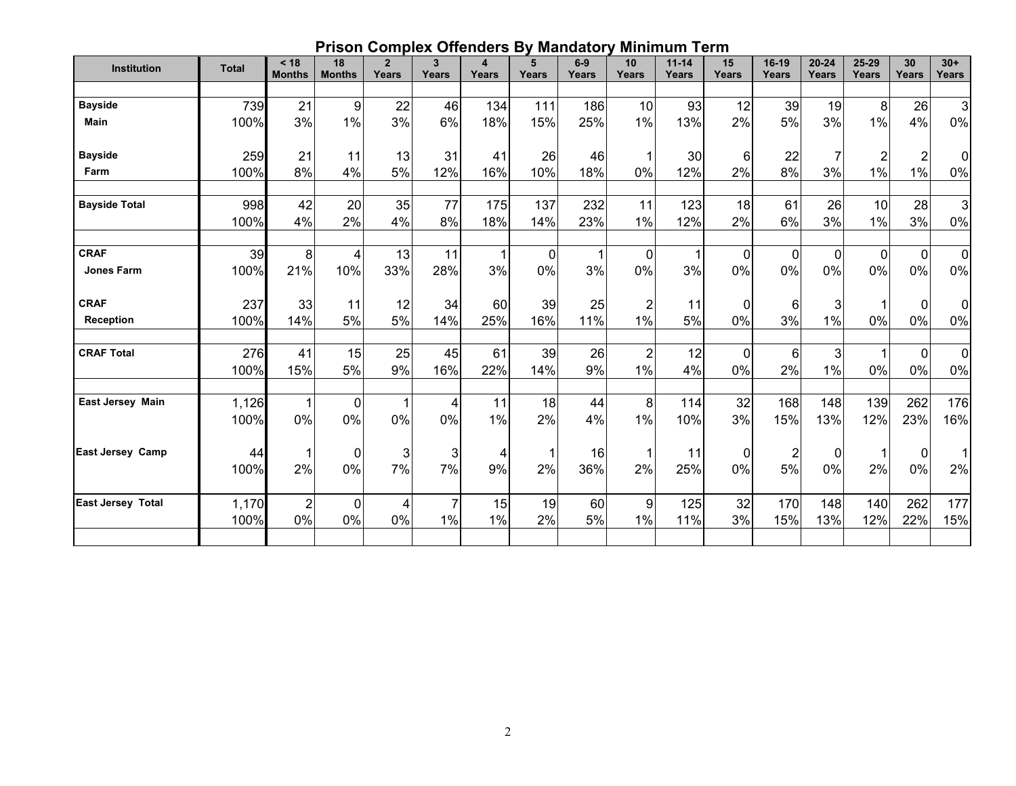# **Prison Complex Offenders By Mandatory Minimum Term**

| Institution              | <b>Total</b>  | < 18<br><b>Months</b> | 18<br><b>Months</b> | $\overline{2}$<br>Years | 3<br>Years           | 4<br>Years | 5<br>Years | $6-9$<br>Years | 10<br>Years             | $11 - 14$<br>Years | 15<br>Years | 16-19<br>Years        | $20 - 24$<br>Years | 25-29<br>Years | 30<br>Years    | $30+$<br>Years    |
|--------------------------|---------------|-----------------------|---------------------|-------------------------|----------------------|------------|------------|----------------|-------------------------|--------------------|-------------|-----------------------|--------------------|----------------|----------------|-------------------|
|                          |               |                       |                     |                         |                      |            |            |                |                         |                    |             |                       |                    |                |                |                   |
| <b>Bayside</b>           | 739           | 21                    | 9                   | 22                      | 46                   | 134        | 111        | 186            | 10                      | 93                 | 12          | 39                    | 19                 | 8              | 26             | 3                 |
| <b>Main</b>              | 100%          | 3%                    | 1%                  | 3%                      | 6%                   | 18%        | 15%        | 25%            | $1\%$                   | 13%                | 2%          | 5%                    | 3%                 | 1%             | 4%             | 0%                |
| <b>Bayside</b>           | 259           | 21                    | 11                  | 13                      | 31                   | 41         | 26         | 46             |                         | 30 <sub>l</sub>    | 6           | 22                    |                    | $\overline{2}$ | $\overline{2}$ | 0                 |
| Farm                     | 100%          | 8%                    | 4%                  | 5%                      | 12%                  | 16%        | 10%        | 18%            | 0%                      | 12%                | 2%          | 8%                    | 3%                 | 1%             | 1%             | 0%                |
| <b>Bayside Total</b>     | 998<br>100%   | 42<br>4%              | 20<br>2%            | 35<br>4%                | 77<br>8%             | 175<br>18% | 137<br>14% | 232<br>23%     | 11<br>1%                | 123<br>12%         | 18<br>2%    | 61<br>6%              | 26<br>3%           | 10<br>$1\%$    | 28<br>3%       | 3<br>$0\%$        |
| <b>CRAF</b>              | 39            | 8                     | 4                   | 13                      | 11                   |            | $\Omega$   |                | 0                       | 1                  | 0           | $\mathbf 0$           | 0                  | $\mathbf 0$    | $\mathbf 0$    | $\mathbf 0$       |
| <b>Jones Farm</b>        | 100%          | 21%                   | 10%                 | 33%                     | 28%                  | 3%         | $0\%$      | 3%             | $0\%$                   | 3%                 | 0%          | $0\%$                 | 0%                 | 0%             | 0%             | $0\%$             |
| <b>CRAF</b>              | 237           | 33                    | 11                  | 12                      | 34                   | 60         | 39         | 25             | 2                       | 11                 | 0           | 6                     | 3                  |                | 0              | $\mathbf 0$       |
| Reception                | 100%          | 14%                   | 5%                  | 5%                      | 14%                  | 25%        | 16%        | 11%            | $1\%$                   | 5%                 | 0%          | 3%                    | 1%                 | 0%             | 0%             | 0%                |
| <b>CRAF Total</b>        | 276<br>100%   | 41<br>15%             | 15<br>5%            | 25<br>9%                | 45<br>16%            | 61<br>22%  | 39<br>14%  | 26<br>9%       | $\overline{2}$<br>$1\%$ | 12<br>4%           | 0<br>0%     | $6\phantom{1}6$<br>2% | 3<br>1%            | 0%             | $\Omega$<br>0% | $\mathbf 0$<br>0% |
| East Jersey Main         | 1,126<br>100% | 1<br>0%               | $\pmb{0}$<br>0%     | 1<br>0%                 | 4<br>0%              | 11<br>1%   | 18<br>2%   | 44<br>4%       | $\bf 8$<br>$1\%$        | 114<br>10%         | 32<br>3%    | 168<br>15%            | 148<br>13%         | 139<br>12%     | 262<br>23%     | 176<br>16%        |
| <b>East Jersey Camp</b>  | 44<br>100%    | 2%                    | $\mathbf 0$<br>0%   | $\mathbf{3}$<br>7%      | 3<br>7%              | 4<br>9%    | 2%         | 16<br>36%      | 2%                      | 11<br>25%          | 0<br>0%     | $\overline{c}$<br>5%  | 0<br>$0\%$         | 2%             | 0<br>$0\%$     | 1<br>2%           |
| <b>East Jersey Total</b> | 1,170<br>100% | $\overline{c}$<br>0%  | 0<br>0%             | $\overline{4}$<br>$0\%$ | $\overline{7}$<br>1% | 15<br>1%   | 19<br>2%   | 60<br>5%       | 9<br>$1\%$              | 125<br>11%         | 32<br>3%    | 170<br>15%            | 148<br>13%         | 140<br>12%     | 262<br>22%     | 177<br>15%        |
|                          |               |                       |                     |                         |                      |            |            |                |                         |                    |             |                       |                    |                |                |                   |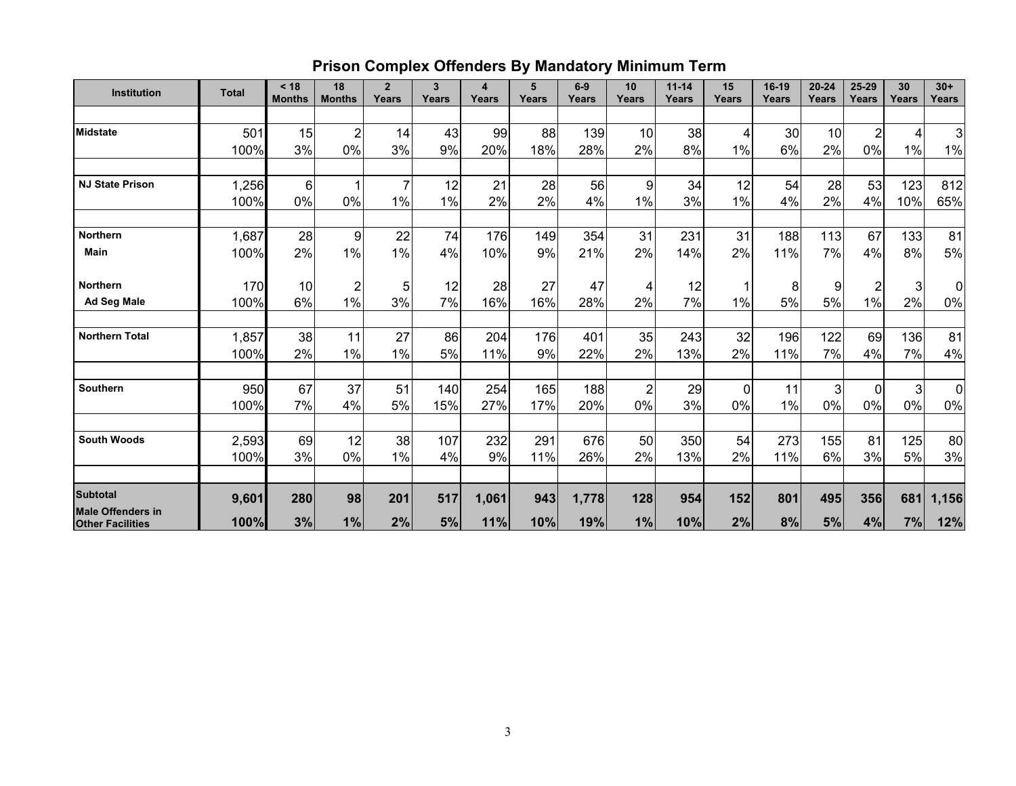# **Prison Complex Offenders By Mandatory Minimum Term**

| Institution                                         | <b>Total</b> | < 18<br><b>Months</b> | 18<br><b>Months</b> | $\overline{2}$<br>Years | $\mathbf{3}$<br>Years | $\overline{\mathbf{4}}$<br>Years | 5<br>Years | $6-9$<br>Years | 10<br>Years    | $11 - 14$<br>Years | 15<br>Years | 16-19<br>Years | $20 - 24$<br>Years | 25-29<br>Years | 30<br>Years | $30+$<br>Years |
|-----------------------------------------------------|--------------|-----------------------|---------------------|-------------------------|-----------------------|----------------------------------|------------|----------------|----------------|--------------------|-------------|----------------|--------------------|----------------|-------------|----------------|
|                                                     |              |                       |                     |                         |                       |                                  |            |                |                |                    |             |                |                    |                |             |                |
| <b>Midstate</b>                                     | 501          | 15                    | $\overline{2}$      | 14                      | 43                    | 99                               | 88         | 139            | 10             | 38                 | 4           | 30             | 10                 | $\overline{2}$ | 4           | $\overline{3}$ |
|                                                     | 100%         | 3%                    | 0%                  | 3%                      | 9%                    | 20%                              | 18%        | 28%            | 2%             | 8%                 | 1%          | 6%             | 2%                 | 0%             | 1%          | $1\%$          |
|                                                     |              |                       |                     |                         |                       |                                  |            |                |                |                    |             |                |                    |                |             |                |
| <b>NJ State Prison</b>                              | 1,256        | 6                     |                     | $\overline{7}$          | 12                    | 21                               | 28         | 56             | 9              | 34                 | 12          | 54             | 28                 | 53             | 123         | 812            |
|                                                     | 100%         | 0%                    | 0%                  | 1%                      | 1%                    | 2%                               | 2%         | 4%             | 1%             | 3%                 | 1%          | 4%             | 2%                 | 4%             | 10%         | 65%            |
| <b>Northern</b>                                     | 1,687        | 28                    | 9                   | 22                      | 74                    | 176                              | 149        | 354            | 31             | 231                | 31          | 188            | 113                | 67             | 133         | 81             |
| Main                                                | 100%         | 2%                    | 1%                  | $1\%$                   | 4%                    | 10%                              | 9%         | 21%            | 2%             | 14%                | 2%          | 11%            | 7%                 | 4%             | 8%          | 5%             |
| <b>Northern</b>                                     | 170          | 10                    | 2                   | 5                       | 12                    | 28                               | 27         | 47             | 4              | 12                 | 1           | 8              | 9                  | $\overline{2}$ | 3           | $\overline{0}$ |
| <b>Ad Seg Male</b>                                  | 100%         | 6%                    | 1%                  | 3%                      | 7%                    | 16%                              | 16%        | 28%            | 2%             | 7%                 | 1%          | 5%             | 5%                 | 1%             | 2%          | 0%             |
| <b>Northern Total</b>                               | 1,857        | 38                    | 11                  | 27                      | 86                    | 204                              | 176        | 401            | 35             | 243                | 32          | 196            | 122                | 69             | 136         | 81             |
|                                                     | 100%         | 2%                    | $1\%$               | 1%                      | 5%                    | 11%                              | 9%         | 22%            | 2%             | 13%                | 2%          | 11%            | 7%                 | 4%             | 7%          | 4%             |
| Southern                                            | 950          | 67                    | 37                  | 51                      | 140                   | 254                              | 165        | 188            | $\overline{2}$ | 29                 | 0           | 11             | 3                  | $\Omega$       | 3           | $\overline{0}$ |
|                                                     | 100%         | 7%                    | 4%                  | 5%                      | 15%                   | 27%                              | 17%        | 20%            | 0%             | 3%                 | 0%          | 1%             | $0\%$              | 0%             | 0%          | 0%             |
| <b>South Woods</b>                                  | 2,593        | 69                    | 12                  | 38                      | 107                   | 232                              | 291        | 676            | 50             | 350                | 54          | 273            | 155                | 81             | 125         | 80             |
|                                                     | 100%         | 3%                    | 0%                  | $1\%$                   | 4%                    | 9%                               | 11%        | 26%            | 2%             | 13%                | 2%          | 11%            | 6%                 | 3%             | 5%          | 3%             |
|                                                     |              |                       |                     |                         |                       |                                  |            |                |                |                    |             |                |                    |                |             |                |
| <b>Subtotal</b>                                     | 9,601        | 280                   | 98                  | 201                     | 517                   | 1,061                            | 943        | 1,778          | 128            | 954                | 152         | 801            | 495                | 356            | 681         | 1,156          |
| <b>Male Offenders in</b><br><b>Other Facilities</b> | 100%         | 3%                    | 1%                  | 2%                      | 5%                    | 11%                              | 10%        | 19%            | 1%             | 10%                | 2%          | 8%             | 5%                 | 4%             | 7%          | 12%            |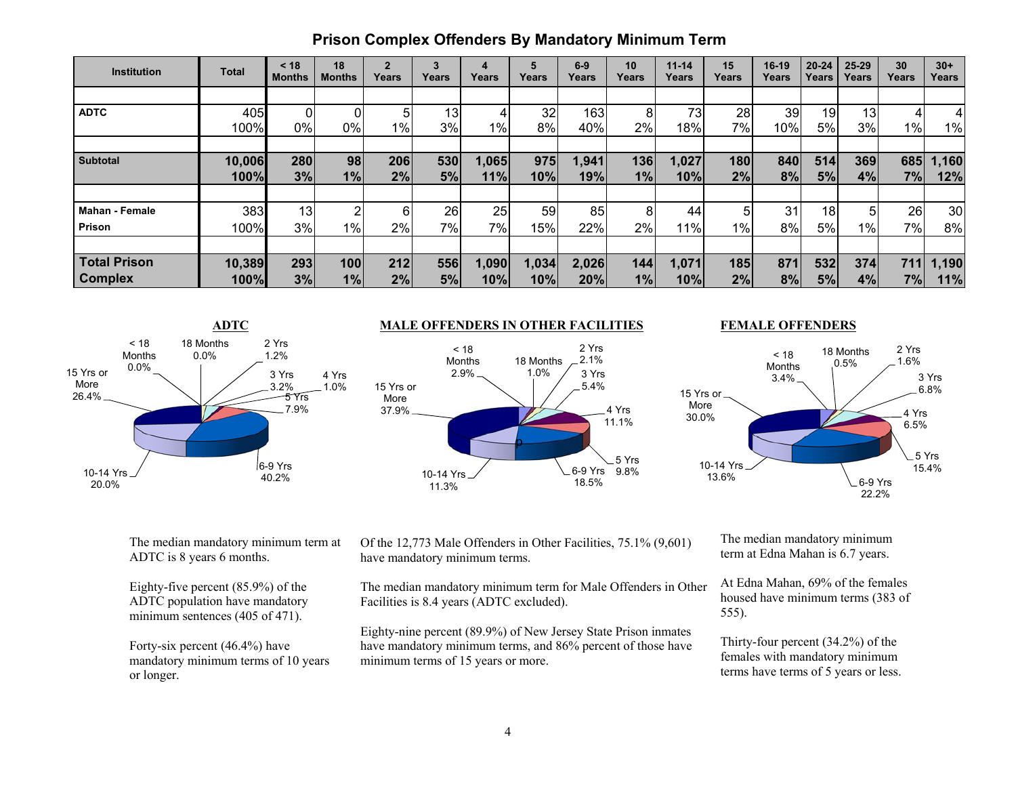| <b>Institution</b>    | Total  | < 18<br><b>Months</b> | 18<br><b>Months</b> | $\overline{2}$<br>Years | 3<br>Years | 4<br>Years | 5<br>Years | $6-9$<br>Years | 10<br>Years | $11 - 14$<br>Years | 15<br>Years | $16-19$<br>Years | $20 - 24$<br>Years | $25 - 29$<br>Years | 30<br>Years | $30+$<br>Years  |
|-----------------------|--------|-----------------------|---------------------|-------------------------|------------|------------|------------|----------------|-------------|--------------------|-------------|------------------|--------------------|--------------------|-------------|-----------------|
|                       |        |                       |                     |                         |            |            |            |                |             |                    |             |                  |                    |                    |             |                 |
| <b>ADTC</b>           | 405    |                       |                     | 5                       | 13         | 4          | 32         | 163            | 8           | 73                 | 28          | 39               | 19                 | 13 <sub>l</sub>    |             |                 |
|                       | 100%   | 0%                    | 0%                  | 1%                      | 3%         | $1\%$      | 8%         | 40%            | 2%          | 18%                | 7%          | 10%              | 5%                 | 3%                 | $1\%$       | 1%              |
|                       |        |                       |                     |                         |            |            |            |                |             |                    |             |                  |                    |                    |             |                 |
| <b>Subtotal</b>       | 10,006 | 280                   | 98 <sub>l</sub>     | 206                     | 530        | 1,065      | 975        | 1,941          | 136         | 1,027              | 180         | 840              | 514                | 369                | 685         | 1,160           |
|                       | 100%   | 3%                    | 1%                  | 2%                      | 5%         | 11%        | 10%        | 19%            | 1%          | 10%                | 2%          | 8%               | 5%                 | 4%                 | 7%          | 12%             |
|                       |        |                       |                     |                         |            |            |            |                |             |                    |             |                  |                    |                    |             |                 |
| <b>Mahan - Female</b> | 383    | 13                    |                     | 6                       | 26         | 25         | 59         | 85             | 8           | 44                 | 5           | 31               | 18                 | 5                  | <b>26</b>   | 30 <sub>l</sub> |
| Prison                | 100%   | 3%                    | 1%                  | 2%                      | 7%         | 7%         | 15%        | 22%            | 2%          | 11%                | $1\%$       | 8%               | 5%                 | 1%                 | 7%          | 8%              |
|                       |        |                       |                     |                         |            |            |            |                |             |                    |             |                  |                    |                    |             |                 |
| <b>Total Prison</b>   | 10,389 | 293                   | 100                 | 212                     | 556        | 1,090      | 1,034      | 2,026          | 144         | 1,071              | 185         | 871              | 532                | 374                | 711         | 1,190           |
| <b>Complex</b>        | 100%   | 3%                    | 1%                  | 2%                      | 5%         | 10%        | 10%        | 20%            | 1%          | 10%                | 2%          | 8%               | 5%                 | 4%                 | 7%          | 11%             |



#### **ADTC MALE OFFENDERS IN OTHER FACILITIES**



#### **FEMALE OFFENDERS**



The median mandatory minimum term at ADTC is 8 years 6 months.

Eighty-five percent (85.9%) of the ADTC population have mandatory minimum sentences (405 of 471).

Forty-six percent (46.4%) have mandatory minimum terms of 10 years or longer.

Of the 12,773 Male Offenders in Other Facilities, 75.1% (9,601) have mandatory minimum terms.

The median mandatory minimum term for Male Offenders in Other Facilities is 8.4 years (ADTC excluded).

Eighty-nine percent (89.9%) of New Jersey State Prison inmates have mandatory minimum terms, and 86% percent of those have minimum terms of 15 years or more.

The median mandatory minimum term at Edna Mahan is 6.7 years.

At Edna Mahan, 69% of the females housed have minimum terms (383 of 555).

Thirty-four percent (34.2%) of the females with mandatory minimum terms have terms of 5 years or less.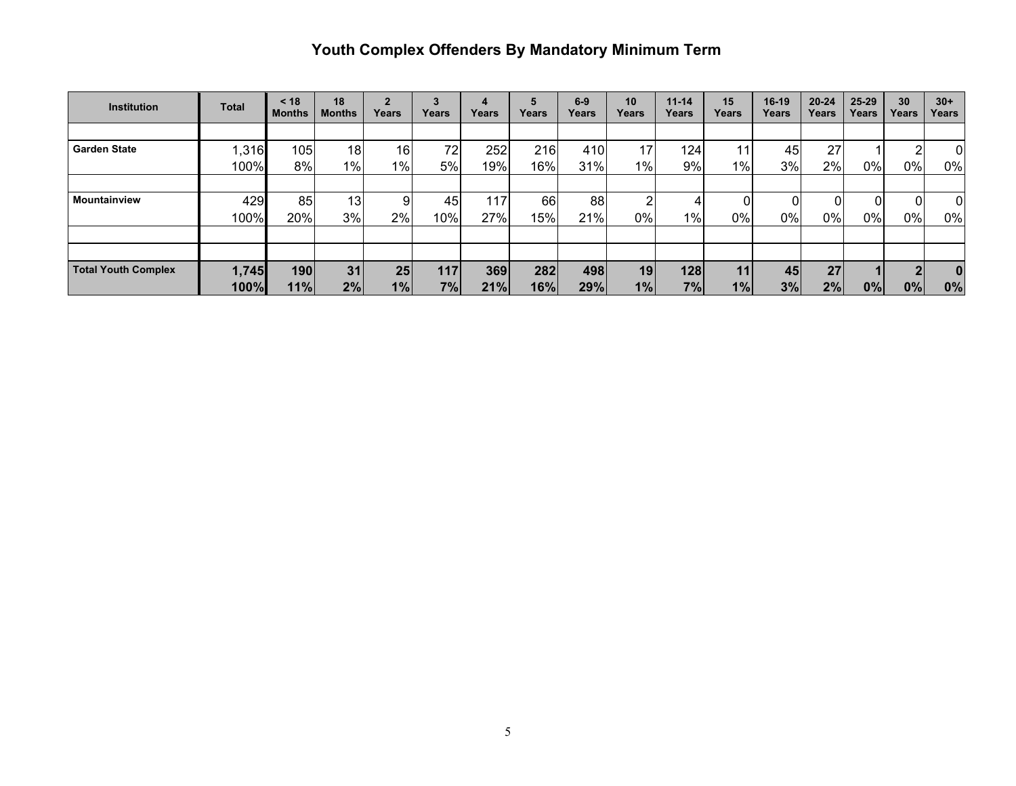# **Youth Complex Offenders By Mandatory Minimum Term**

| <b>Institution</b>         | <b>Total</b> | < 18<br><b>Months</b> | 18<br><b>Months</b> | Years | Years | Years | Years | $6-9$<br>Years | 10<br>Years | $11 - 14$<br>Years | 15<br>Years | $16-19$<br>Years | $20 - 24$<br>Years | $25 - 29$<br>Years | 30<br>Years | $30+$<br>Years |
|----------------------------|--------------|-----------------------|---------------------|-------|-------|-------|-------|----------------|-------------|--------------------|-------------|------------------|--------------------|--------------------|-------------|----------------|
|                            |              |                       |                     |       |       |       |       |                |             |                    |             |                  |                    |                    |             |                |
| <b>Garden State</b>        | .316         | 105                   | 18                  | 16    | 72    | 252   | 216   | 410            | 17          | 124                | 11          | 45               | 27                 |                    |             | 0              |
|                            | 100%         | 8%                    | 1%                  | 1%    | 5%    | 19%   | 16%   | 31%            | 1%          | $9\%$              | $1\%$       | 3%               | 2%                 | $0\%$              | 0%          | 0%             |
|                            |              |                       |                     |       |       |       |       |                |             |                    |             |                  |                    |                    |             |                |
| Mountainview               | 429          | 85                    | 13                  | 9     | 45    | 117   | 661   | 88             | າ           | 4                  |             |                  |                    | 0                  |             | $\Omega$       |
|                            | 100%         | 20%                   | 3%                  | 2%    | 10%l  | 27%   | 15%   | 21%            | $0\%$       | $1\%$              | 0%          | $0\%$            | 0%                 | $0\%$              | 0%          | 0%             |
|                            |              |                       |                     |       |       |       |       |                |             |                    |             |                  |                    |                    |             |                |
|                            |              |                       |                     |       |       |       |       |                |             |                    |             |                  |                    |                    |             |                |
| <b>Total Youth Complex</b> | 1,745        | 190                   | 31                  | 25    | 117   | 369   | 282   | 498            | 19          | 128                | 11          | 45               | 27                 |                    |             | $\bf{0}$       |
|                            | 100%         | 11%                   | 2%                  | 1%    | 7%    | 21%   | 16%   | 29%            | 1%          | 7%                 | 1%          | 3%               | 2%                 | 0%                 | 0%          | 0%             |